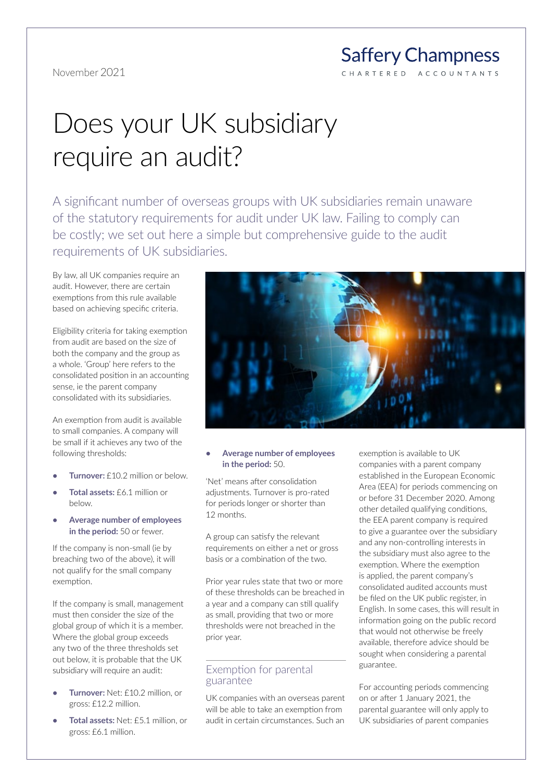#### **Saffery Champness** C H A R T E R E D ACCOUNTANTS

# Does your UK subsidiary require an audit?

A significant number of overseas groups with UK subsidiaries remain unaware of the statutory requirements for audit under UK law. Failing to comply can be costly; we set out here a simple but comprehensive guide to the audit requirements of UK subsidiaries.

By law, all UK companies require an audit. However, there are certain exemptions from this rule available based on achieving specific criteria.

Eligibility criteria for taking exemption from audit are based on the size of both the company and the group as a whole. 'Group' here refers to the consolidated position in an accounting sense, ie the parent company consolidated with its subsidiaries.

An exemption from audit is available to small companies. A company will be small if it achieves any two of the following thresholds:

- **• Turnover:** £10.2 million or below.
- **• Total assets:** £6.1 million or below.
- **• Average number of employees in the period:** 50 or fewer.

If the company is non-small (ie by breaching two of the above), it will not qualify for the small company exemption.

If the company is small, management must then consider the size of the global group of which it is a member. Where the global group exceeds any two of the three thresholds set out below, it is probable that the UK subsidiary will require an audit:

- **• Turnover:** Net: £10.2 million, or gross: £12.2 million.
- **• Total assets:** Net: £5.1 million, or gross: £6.1 million.



## **• Average number of employees in the period:** 50.

'Net' means after consolidation adjustments. Turnover is pro-rated for periods longer or shorter than 12 months.

A group can satisfy the relevant requirements on either a net or gross basis or a combination of the two.

Prior year rules state that two or more of these thresholds can be breached in a year and a company can still qualify as small, providing that two or more thresholds were not breached in the prior year.

## Exemption for parental guarantee

UK companies with an overseas parent will be able to take an exemption from audit in certain circumstances. Such an exemption is available to UK companies with a parent company established in the European Economic Area (EEA) for periods commencing on or before 31 December 2020. Among other detailed qualifying conditions, the EEA parent company is required to give a guarantee over the subsidiary and any non-controlling interests in the subsidiary must also agree to the exemption. Where the exemption is applied, the parent company's consolidated audited accounts must be filed on the UK public register, in English. In some cases, this will result in information going on the public record that would not otherwise be freely available, therefore advice should be sought when considering a parental guarantee.

For accounting periods commencing on or after 1 January 2021, the parental guarantee will only apply to UK subsidiaries of parent companies